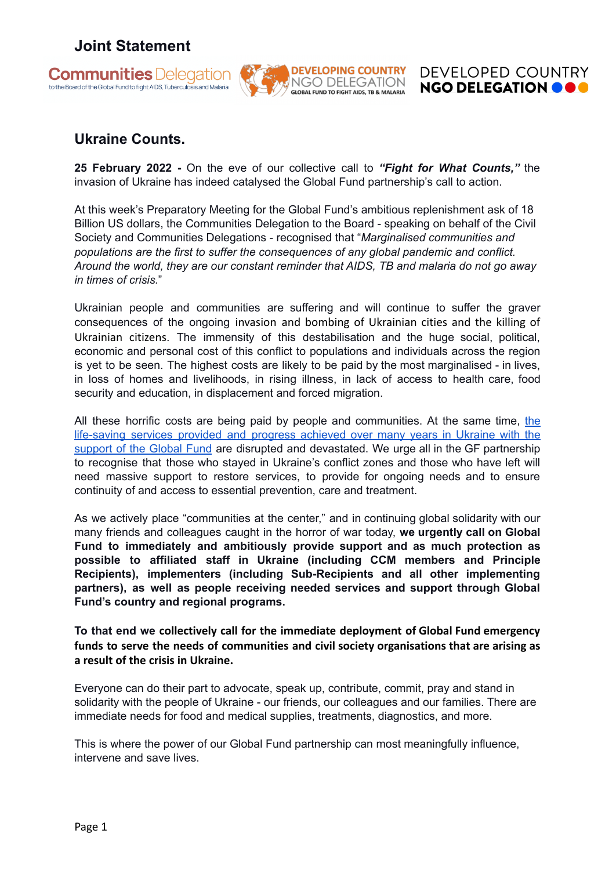## **Joint Statement**







## **Ukraine Counts.**

**25 February 2022 -** On the eve of our collective call to *"Fight for What Counts,"* the invasion of Ukraine has indeed catalysed the Global Fund partnership's call to action.

At this week's Preparatory Meeting for the Global Fund's ambitious replenishment ask of 18 Billion US dollars, the Communities Delegation to the Board - speaking on behalf of the Civil Society and Communities Delegations - recognised that "*Marginalised communities and populations are the first to suffer the consequences of any global pandemic and conflict. Around the world, they are our constant reminder that AIDS, TB and malaria do not go away in times of crisis.*"

Ukrainian people and communities are suffering and will continue to suffer the graver consequences of the ongoing invasion and bombing of Ukrainian cities and the killing of Ukrainian citizens. The immensity of this destabilisation and the huge social, political, economic and personal cost of this conflict to populations and individuals across the region is yet to be seen. The highest costs are likely to be paid by the most marginalised - in lives, in loss of homes and livelihoods, in rising illness, in lack of access to health care, food security and education, in displacement and forced migration.

All these horrific costs are being paid by people and communities. At the same time, [the](https://globalfund.exposure.co/in-ukraine-voices-from-the-front-lines-fighting-inequality-to-end-aids) [life-saving](https://globalfund.exposure.co/in-ukraine-voices-from-the-front-lines-fighting-inequality-to-end-aids) services provided and progress achieved over many years in Ukraine with the [support](https://globalfund.exposure.co/in-ukraine-voices-from-the-front-lines-fighting-inequality-to-end-aids) of the Global Fund are disrupted and devastated. We urge all in the GF partnership to recognise that those who stayed in Ukraine's conflict zones and those who have left will need massive support to restore services, to provide for ongoing needs and to ensure continuity of and access to essential prevention, care and treatment.

As we actively place "communities at the center," and in continuing global solidarity with our many friends and colleagues caught in the horror of war today, **we urgently call on Global Fund to immediately and ambitiously provide support and as much protection as possible to affiliated staff in Ukraine (including CCM members and Principle Recipients), implementers (including Sub-Recipients and all other implementing partners), as well as people receiving needed services and support through Global Fund's country and regional programs.**

**To that end we collectively call for the immediate deployment of Global Fund emergency funds to serve the needs of communities and civil society organisations that are arising as a result of the crisis in Ukraine.**

Everyone can do their part to advocate, speak up, contribute, commit, pray and stand in solidarity with the people of Ukraine - our friends, our colleagues and our families. There are immediate needs for food and medical supplies, treatments, diagnostics, and more.

This is where the power of our Global Fund partnership can most meaningfully influence, intervene and save lives.